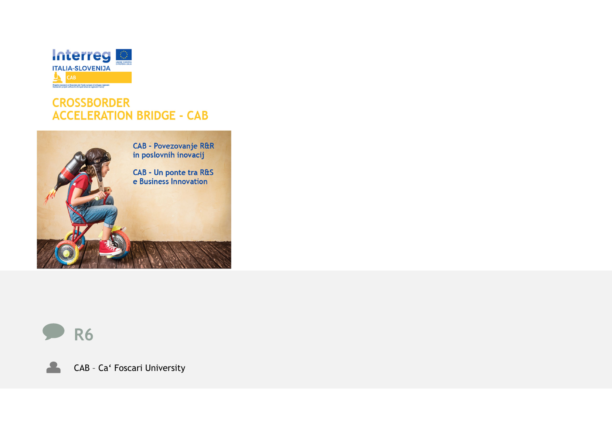

#### **CROSSBORDER ACCELERATION BRIDGE - CAB**





 $\blacktriangle$ 

CAB – Ca' Foscari University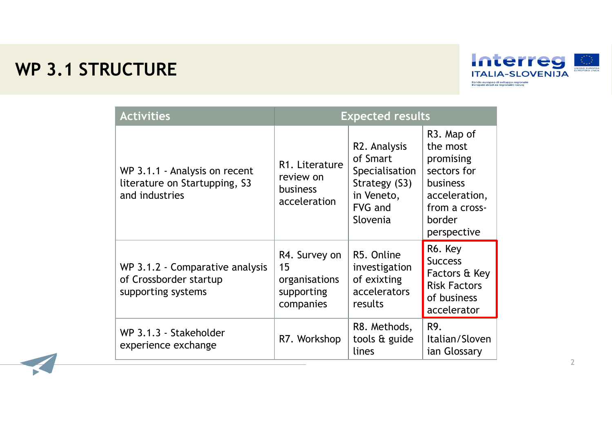# **WP 3.1 STRUCTURE**



| <b>Activities</b>                                                                | <b>Expected results</b>                                         |                                                                                                  |                                                                                                                                               |  |  |
|----------------------------------------------------------------------------------|-----------------------------------------------------------------|--------------------------------------------------------------------------------------------------|-----------------------------------------------------------------------------------------------------------------------------------------------|--|--|
| WP 3.1.1 - Analysis on recent<br>literature on Startupping, S3<br>and industries | R1. Literature<br>review on<br><b>business</b><br>acceleration  | R2. Analysis<br>of Smart<br>Specialisation<br>Strategy (S3)<br>in Veneto,<br>FVG and<br>Slovenia | R <sub>3</sub> . Map of<br>the most<br>promising<br>sectors for<br><b>business</b><br>acceleration,<br>from a cross-<br>border<br>perspective |  |  |
| WP 3.1.2 - Comparative analysis<br>of Crossborder startup<br>supporting systems  | R4. Survey on<br>15<br>organisations<br>supporting<br>companies | R5. Online<br>investigation<br>of exixting<br>accelerators<br>results                            | R6. Key<br><b>Success</b><br>Factors & Key<br><b>Risk Factors</b><br>of business<br>accelerator                                               |  |  |
| WP 3.1.3 - Stakeholder<br>experience exchange                                    | R7. Workshop                                                    | R8. Methods,<br>tools & guide<br>lines                                                           | R9.<br>Italian/Sloven<br>ian Glossary                                                                                                         |  |  |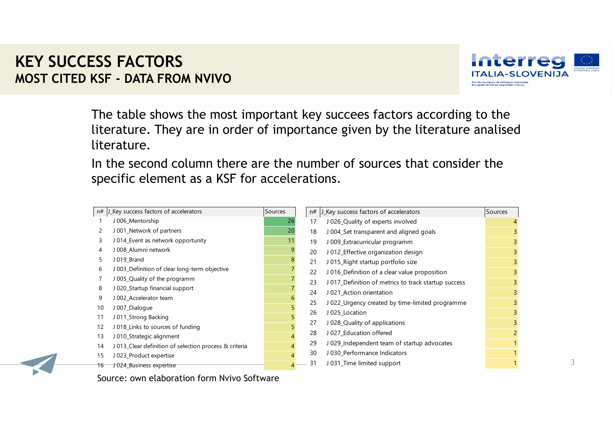### **KEY SUCCESS FACTORSMOST CITED KSF - DATA FROM NVIVO**



The table shows the most important key succees factors according to the literature. They are in order of importance given by the literature analised literature.

In the second column there are the number of sources that consider the specific element as a KSF for accelerations.

| n# | J_Key success factors of accelerators                  | Sources | n# | J_Key success factors of accelerators                | Sources        |
|----|--------------------------------------------------------|---------|----|------------------------------------------------------|----------------|
|    | J 006_Mentorship                                       | 26      | 17 | J 026_Quality of experts involved                    |                |
|    | J 001_Network of partners                              | 20      | 18 | J 004_Set transparent and aligned goals              | 3              |
| 3  | J 014_Event as network opportunity                     | 11      | 19 | J 009_Extracurricular programm                       | $\overline{3}$ |
|    | J 008 Alumni network                                   | 9       | 20 | J 012_Effective organization design                  | 3              |
|    | J 019_Brand                                            |         | 21 | J 015_Right startup portfolio size                   | $\overline{3}$ |
| 6  | J 003 Definition of clear long-term objective          |         | 22 | J 016_Definition of a clear value proposition        | $\overline{3}$ |
|    | J 005_Quality of the programm                          |         | 23 | J 017 Definition of metrics to track startup success | $\overline{3}$ |
| 8  | J 020 Startup financial support                        |         | 24 | J 021 Action orientation                             | $\overline{3}$ |
| 9  | J 002 Accelerator team                                 |         | 25 | J 022_Urgency created by time-limited programme      | $\overline{3}$ |
| 10 | J 007_Dialogue                                         |         | 26 | J 025 Location                                       | $\overline{3}$ |
| 11 | J 011_Strong Backing                                   |         |    |                                                      |                |
| 12 | J018_Links to sources of funding                       |         | 27 | J 028_Quality of applications                        | $\overline{3}$ |
| 13 | J 010_Strategic alignment                              |         | 28 | J 027_Education offered                              | $\overline{2}$ |
| 14 | J 013 Clear definition of selection process & criteria |         | 29 | J029_Independent team of startup advocates           |                |
| 15 | J 023_Product expertise                                |         | 30 | J 030 Performance Indicators                         |                |
|    | 16 J 024 Business expertise                            |         | 31 | J 031_Time limited support                           |                |

Source: own elaboration form Nvivo Software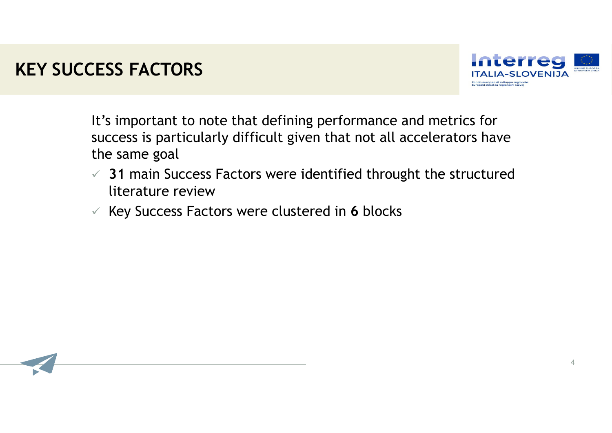# **KEY SUCCESS FACTORS**



It's important to note that defining performance and metrics for success is particularly difficult given that not all accelerators have the same goal

- **31** main Success Factors were identified throught the structured literature review
- Key Success Factors were clustered in **6** blocks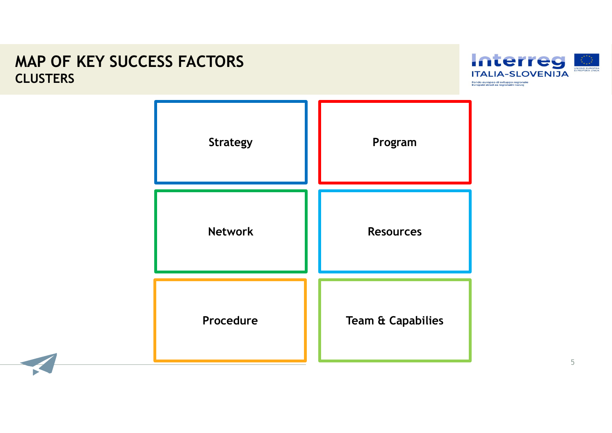### **MAP OF KEY SUCCESS FACTORS CLUSTERS**



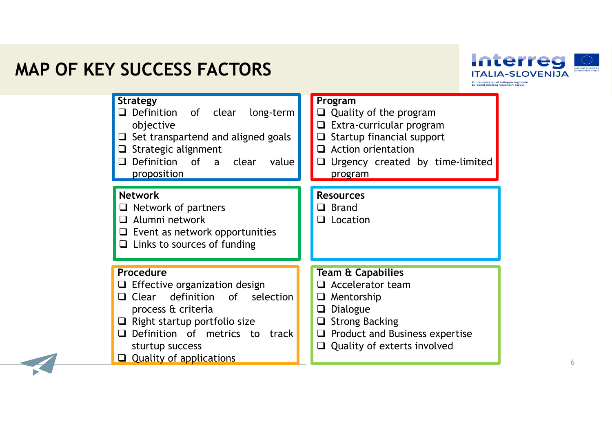# **MAP OF KEY SUCCESS FACTORS**





6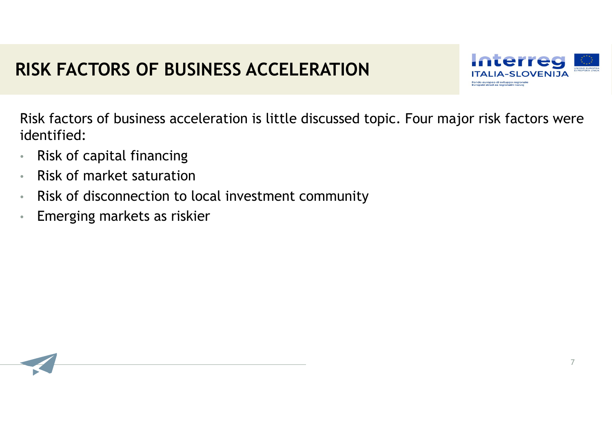# **RISK FACTORS OF BUSINESS ACCELERATION**



7

Risk factors of business acceleration is little discussed topic. Four major risk factors were identified:

- •Risk of capital financing
- •Risk of market saturation
- •Risk of disconnection to local investment community
- •Emerging markets as riskier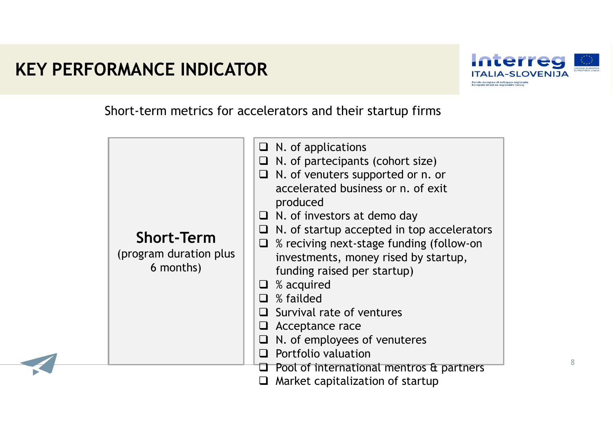# **KEY PERFORMANCE INDICATOR**



8

Short-term metrics for accelerators and their startup firms

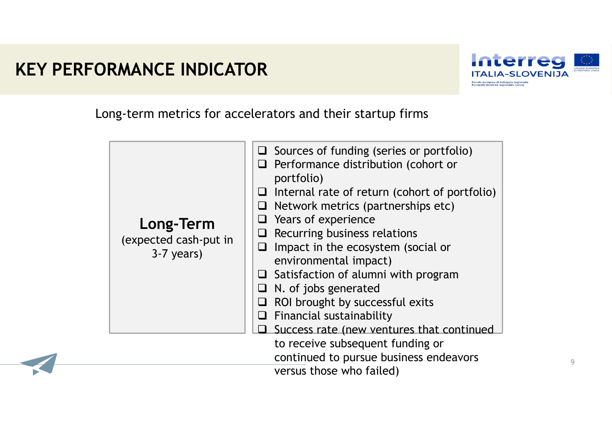# **KEY PERFORMANCE INDICATOR**



9

Long-term metrics for accelerators and their startup firms